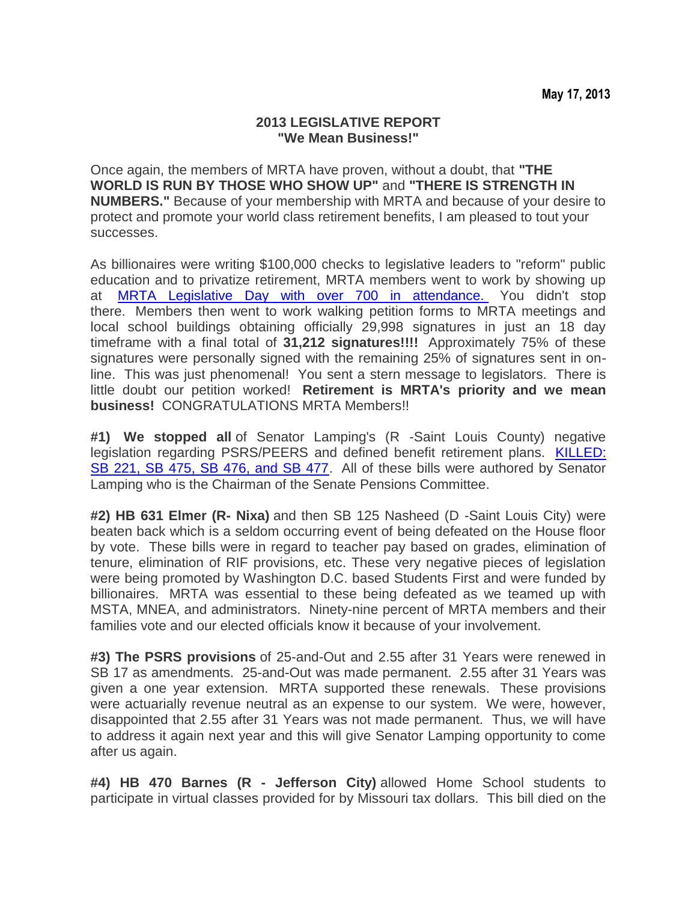## **2013 LEGISLATIVE REPORT "We Mean Business!"**

Once again, the members of MRTA have proven, without a doubt, that **"THE WORLD IS RUN BY THOSE WHO SHOW UP"** and **"THERE IS STRENGTH IN NUMBERS."** Because of your membership with MRTA and because of your desire to protect and promote your world class retirement benefits, I am pleased to tout your successes.

As billionaires were writing \$100,000 checks to legislative leaders to "reform" public education and to privatize retirement, MRTA members went to work by showing up at [MRTA Legislative Day with over 700 in attendance.](http://r20.rs6.net/tn.jsp?e=001HufpjBPtLY_RbKKKweBbMsX3GipPQm4q2O8hWW3adQCaGmj0lwnm-LAIYYaiN8Q7oPG6ZiV-BewzjvtiQTxIsr5WVFzU4zxULENXvIUZHt4QBArfXLrNc_KavYLf4b-XsvFb7HMWRk43ikR3Ztp-i4xRAfPLei-thlekDrA4ebJ78zD910W6tucZkBAZfOGr8WwNp7NyXu0=) You didn't stop there. Members then went to work walking petition forms to MRTA meetings and local school buildings obtaining officially 29,998 signatures in just an 18 day timeframe with a final total of **31,212 signatures!!!!** Approximately 75% of these signatures were personally signed with the remaining 25% of signatures sent in online. This was just phenomenal! You sent a stern message to legislators. There is little doubt our petition worked! **Retirement is MRTA's priority and we mean business!** CONGRATULATIONS MRTA Members!!

**#1) We stopped all** of Senator Lamping's (R -Saint Louis County) negative legislation regarding PSRS/PEERS and defined benefit retirement plans. [KILLED:](http://r20.rs6.net/tn.jsp?e=001HufpjBPtLY8o8KP_R_TCYyfR7orOpH3lxu6PfMje-v83BkpLCMzVhynw6FmMSiZWULqGQQav38Bxv3qGWz9aSBtMJlM728ofcO82MHxJGaL4W2gH_2oj5Si5BwkWmNgMdQ-d6rd9LSRFpgUn6ceXuOt8hTghPqVXDDOkliTa9JVO3eNCRjAuGXYJBIPv9ChsByBWv1CMfHU=)  [SB 221, SB 475, SB 476, and SB 477.](http://r20.rs6.net/tn.jsp?e=001HufpjBPtLY8o8KP_R_TCYyfR7orOpH3lxu6PfMje-v83BkpLCMzVhynw6FmMSiZWULqGQQav38Bxv3qGWz9aSBtMJlM728ofcO82MHxJGaL4W2gH_2oj5Si5BwkWmNgMdQ-d6rd9LSRFpgUn6ceXuOt8hTghPqVXDDOkliTa9JVO3eNCRjAuGXYJBIPv9ChsByBWv1CMfHU=) All of these bills were authored by Senator Lamping who is the Chairman of the Senate Pensions Committee.

**#2) HB 631 Elmer (R- Nixa)** and then SB 125 Nasheed (D -Saint Louis City) were beaten back which is a seldom occurring event of being defeated on the House floor by vote. These bills were in regard to teacher pay based on grades, elimination of tenure, elimination of RIF provisions, etc. These very negative pieces of legislation were being promoted by Washington D.C. based Students First and were funded by billionaires. MRTA was essential to these being defeated as we teamed up with MSTA, MNEA, and administrators. Ninety-nine percent of MRTA members and their families vote and our elected officials know it because of your involvement.

**#3) The PSRS provisions** of 25-and-Out and 2.55 after 31 Years were renewed in SB 17 as amendments. 25-and-Out was made permanent. 2.55 after 31 Years was given a one year extension. MRTA supported these renewals. These provisions were actuarially revenue neutral as an expense to our system. We were, however, disappointed that 2.55 after 31 Years was not made permanent. Thus, we will have to address it again next year and this will give Senator Lamping opportunity to come after us again.

**#4) HB 470 Barnes (R - Jefferson City)** allowed Home School students to participate in virtual classes provided for by Missouri tax dollars. This bill died on the